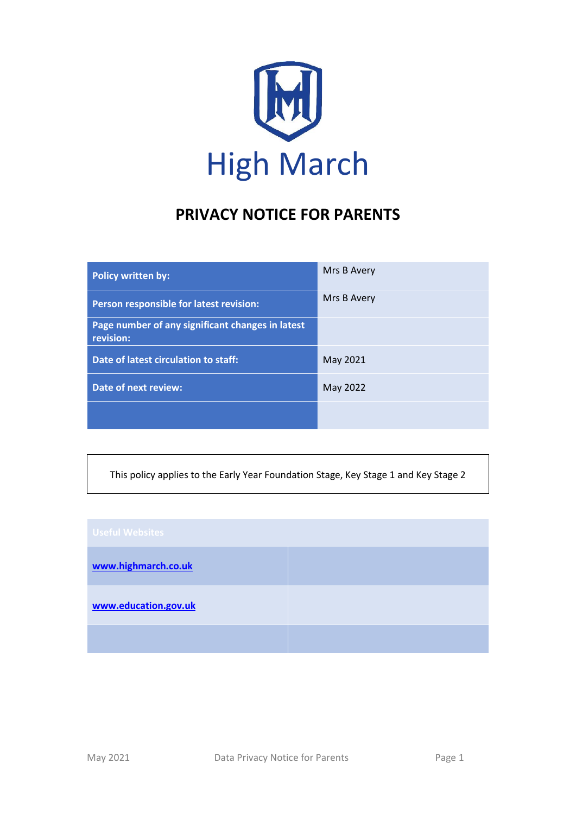

# **PRIVACY NOTICE FOR PARENTS**

| <b>Policy written by:</b>                                     | Mrs B Avery |
|---------------------------------------------------------------|-------------|
| Person responsible for latest revision:                       | Mrs B Avery |
| Page number of any significant changes in latest<br>revision: |             |
| Date of latest circulation to staff:                          | May 2021    |
| <b>Date of next review:</b>                                   | May 2022    |
|                                                               |             |

This policy applies to the Early Year Foundation Stage, Key Stage 1 and Key Stage 2

| <b>Useful Websites</b> |  |
|------------------------|--|
| www.highmarch.co.uk    |  |
| www.education.gov.uk   |  |
|                        |  |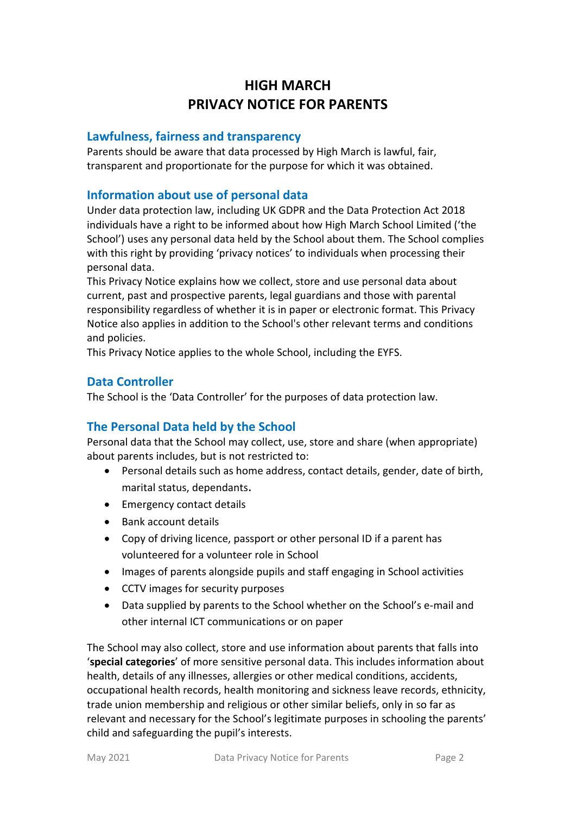## **HIGH MARCH PRIVACY NOTICE FOR PARENTS**

#### **Lawfulness, fairness and transparency**

Parents should be aware that data processed by High March is lawful, fair, transparent and proportionate for the purpose for which it was obtained.

#### **Information about use of personal data**

Under data protection law, including UK GDPR and the Data Protection Act 2018 individuals have a right to be informed about how High March School Limited ('the School') uses any personal data held by the School about them. The School complies with this right by providing 'privacy notices' to individuals when processing their personal data.

This Privacy Notice explains how we collect, store and use personal data about current, past and prospective parents, legal guardians and those with parental responsibility regardless of whether it is in paper or electronic format. This Privacy Notice also applies in addition to the School's other relevant terms and conditions and policies.

This Privacy Notice applies to the whole School, including the EYFS.

#### **Data Controller**

The School is the 'Data Controller' for the purposes of data protection law.

## **The Personal Data held by the School**

Personal data that the School may collect, use, store and share (when appropriate) about parents includes, but is not restricted to:

- Personal details such as home address, contact details, gender, date of birth, marital status, dependants.
- Emergency contact details
- Bank account details
- Copy of driving licence, passport or other personal ID if a parent has volunteered for a volunteer role in School
- Images of parents alongside pupils and staff engaging in School activities
- CCTV images for security purposes
- Data supplied by parents to the School whether on the School's e-mail and other internal ICT communications or on paper

The School may also collect, store and use information about parents that falls into '**special categories**' of more sensitive personal data. This includes information about health, details of any illnesses, allergies or other medical conditions, accidents, occupational health records, health monitoring and sickness leave records, ethnicity, trade union membership and religious or other similar beliefs, only in so far as relevant and necessary for the School's legitimate purposes in schooling the parents' child and safeguarding the pupil's interests.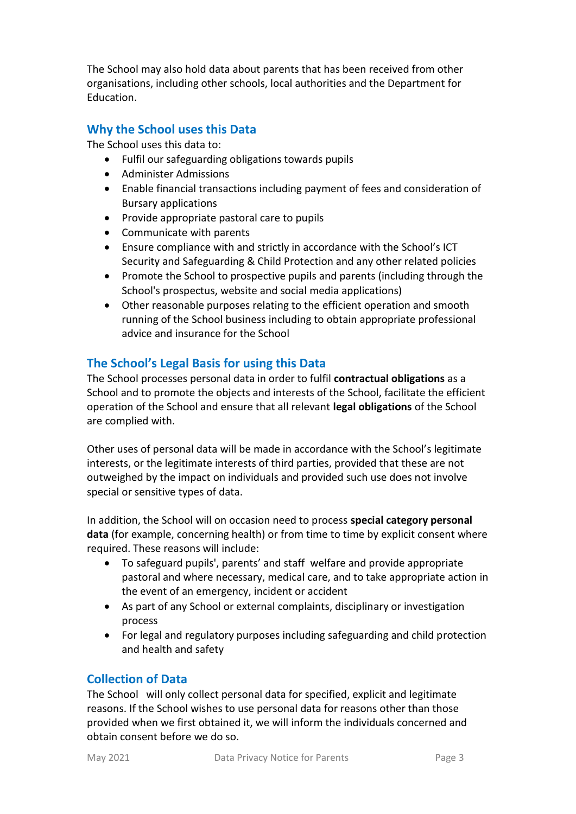The School may also hold data about parents that has been received from other organisations, including other schools, local authorities and the Department for Education.

## **Why the School uses this Data**

The School uses this data to:

- Fulfil our safeguarding obligations towards pupils
- Administer Admissions
- Enable financial transactions including payment of fees and consideration of Bursary applications
- Provide appropriate pastoral care to pupils
- Communicate with parents
- Ensure compliance with and strictly in accordance with the School's ICT Security and Safeguarding & Child Protection and any other related policies
- Promote the School to prospective pupils and parents (including through the School's prospectus, website and social media applications)
- Other reasonable purposes relating to the efficient operation and smooth running of the School business including to obtain appropriate professional advice and insurance for the School

## **The School's Legal Basis for using this Data**

The School processes personal data in order to fulfil **contractual obligations** as a School and to promote the objects and interests of the School, facilitate the efficient operation of the School and ensure that all relevant **legal obligations** of the School are complied with.

Other uses of personal data will be made in accordance with the School's legitimate interests, or the legitimate interests of third parties, provided that these are not outweighed by the impact on individuals and provided such use does not involve special or sensitive types of data.

In addition, the School will on occasion need to process **special category personal data** (for example, concerning health) or from time to time by explicit consent where required. These reasons will include:

- To safeguard pupils', parents' and staff welfare and provide appropriate pastoral and where necessary, medical care, and to take appropriate action in the event of an emergency, incident or accident
- As part of any School or external complaints, disciplinary or investigation process
- For legal and regulatory purposes including safeguarding and child protection and health and safety

#### **Collection of Data**

The School will only collect personal data for specified, explicit and legitimate reasons. If the School wishes to use personal data for reasons other than those provided when we first obtained it, we will inform the individuals concerned and obtain consent before we do so.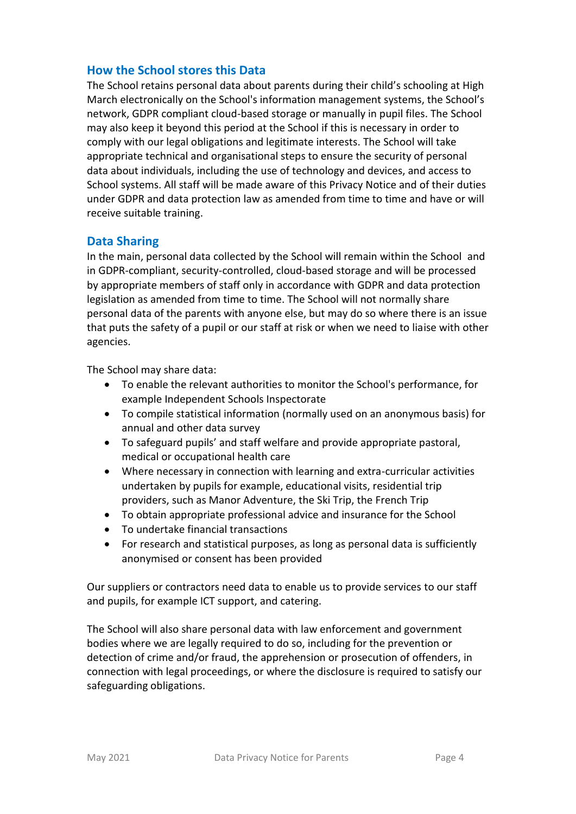#### **How the School stores this Data**

The School retains personal data about parents during their child's schooling at High March electronically on the School's information management systems, the School's network, GDPR compliant cloud-based storage or manually in pupil files. The School may also keep it beyond this period at the School if this is necessary in order to comply with our legal obligations and legitimate interests. The School will take appropriate technical and organisational steps to ensure the security of personal data about individuals, including the use of technology and devices, and access to School systems. All staff will be made aware of this Privacy Notice and of their duties under GDPR and data protection law as amended from time to time and have or will receive suitable training.

#### **Data Sharing**

In the main, personal data collected by the School will remain within the School and in GDPR-compliant, security-controlled, cloud-based storage and will be processed by appropriate members of staff only in accordance with GDPR and data protection legislation as amended from time to time. The School will not normally share personal data of the parents with anyone else, but may do so where there is an issue that puts the safety of a pupil or our staff at risk or when we need to liaise with other agencies.

The School may share data:

- To enable the relevant authorities to monitor the School's performance, for example Independent Schools Inspectorate
- To compile statistical information (normally used on an anonymous basis) for annual and other data survey
- To safeguard pupils' and staff welfare and provide appropriate pastoral, medical or occupational health care
- Where necessary in connection with learning and extra-curricular activities undertaken by pupils for example, educational visits, residential trip providers, such as Manor Adventure, the Ski Trip, the French Trip
- To obtain appropriate professional advice and insurance for the School
- To undertake financial transactions
- For research and statistical purposes, as long as personal data is sufficiently anonymised or consent has been provided

Our suppliers or contractors need data to enable us to provide services to our staff and pupils, for example ICT support, and catering.

The School will also share personal data with law enforcement and government bodies where we are legally required to do so, including for the prevention or detection of crime and/or fraud, the apprehension or prosecution of offenders, in connection with legal proceedings, or where the disclosure is required to satisfy our safeguarding obligations.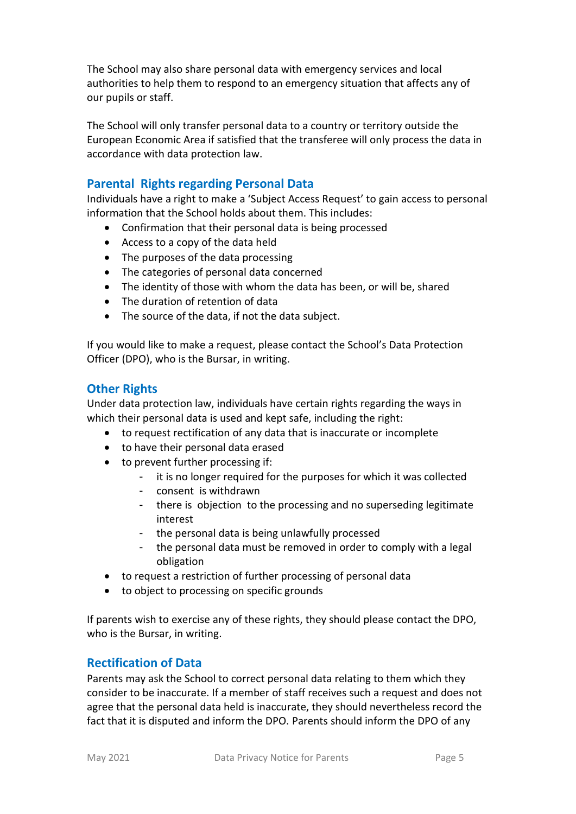The School may also share personal data with emergency services and local authorities to help them to respond to an emergency situation that affects any of our pupils or staff.

The School will only transfer personal data to a country or territory outside the European Economic Area if satisfied that the transferee will only process the data in accordance with data protection law.

#### **Parental Rights regarding Personal Data**

Individuals have a right to make a 'Subject Access Request' to gain access to personal information that the School holds about them. This includes:

- Confirmation that their personal data is being processed
- Access to a copy of the data held
- The purposes of the data processing
- The categories of personal data concerned
- The identity of those with whom the data has been, or will be, shared
- The duration of retention of data
- The source of the data, if not the data subject.

If you would like to make a request, please contact the School's Data Protection Officer (DPO), who is the Bursar, in writing.

#### **Other Rights**

Under data protection law, individuals have certain rights regarding the ways in which their personal data is used and kept safe, including the right:

- to request rectification of any data that is inaccurate or incomplete
- to have their personal data erased
- to prevent further processing if:
	- it is no longer required for the purposes for which it was collected
	- consent is withdrawn
	- there is objection to the processing and no superseding legitimate interest
	- the personal data is being unlawfully processed
	- the personal data must be removed in order to comply with a legal obligation
- to request a restriction of further processing of personal data
- to object to processing on specific grounds

If parents wish to exercise any of these rights, they should please contact the DPO, who is the Bursar, in writing.

#### **Rectification of Data**

Parents may ask the School to correct personal data relating to them which they consider to be inaccurate. If a member of staff receives such a request and does not agree that the personal data held is inaccurate, they should nevertheless record the fact that it is disputed and inform the DPO. Parents should inform the DPO of any